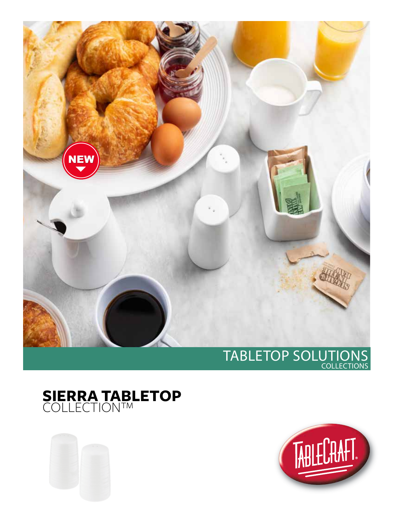





## TABLETOP SOLUTIONS COLLECTIONS